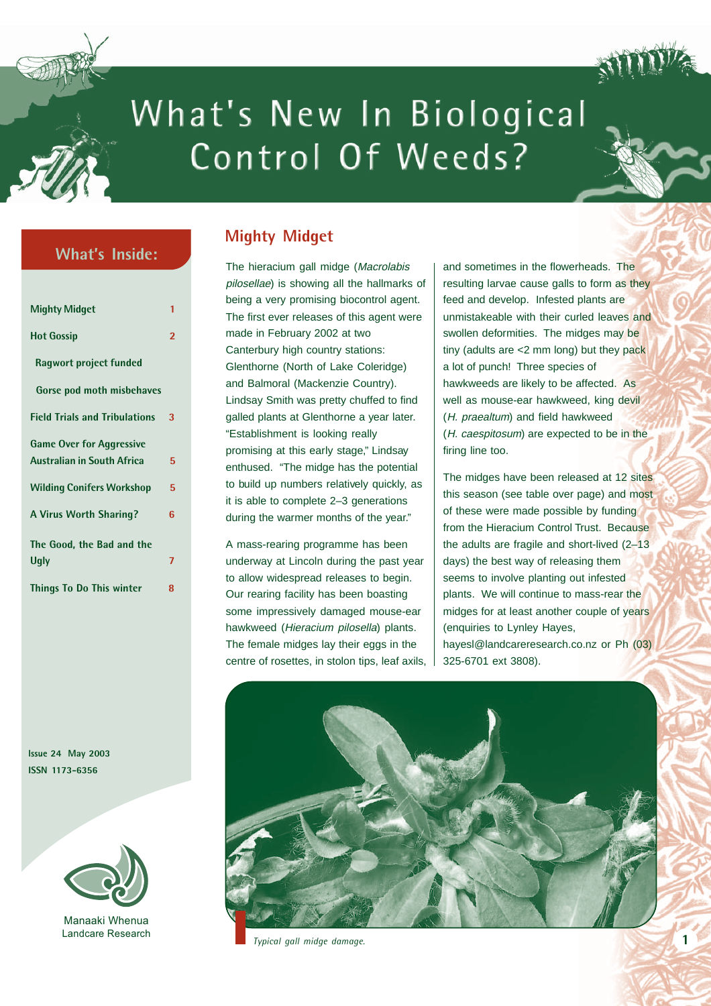

# What's New In Biological Control Of Weeds?

## **What's Inside:**

| <b>Mighty Midget</b>                 | 1                       |
|--------------------------------------|-------------------------|
| <b>Hot Gossip</b>                    | $\overline{\mathbf{c}}$ |
| Ragwort project funded               |                         |
| Gorse pod moth misbehaves            |                         |
| <b>Field Trials and Tribulations</b> | 3                       |
| <b>Game Over for Aggressive</b>      |                         |
| <b>Australian in South Africa</b>    | 5                       |
| <b>Wilding Conifers Workshop</b>     | 5                       |
| <b>A Virus Worth Sharing?</b>        | հ                       |
| The Good, the Bad and the            |                         |
| <b>Ugly</b>                          | 7                       |
| Things To Do This winter             | 8                       |

**Issue 24 May 2003 ISSN 1173-6356**



Manaaki Whenua Landcare Research

## **Mighty Midget**

The hieracium gall midge (Macrolabis pilosellae) is showing all the hallmarks of being a very promising biocontrol agent. The first ever releases of this agent were made in February 2002 at two Canterbury high country stations: Glenthorne (North of Lake Coleridge) and Balmoral (Mackenzie Country). Lindsay Smith was pretty chuffed to find galled plants at Glenthorne a year later. "Establishment is looking really promising at this early stage," Lindsay enthused. "The midge has the potential to build up numbers relatively quickly, as it is able to complete 2–3 generations during the warmer months of the year."

A mass-rearing programme has been underway at Lincoln during the past year to allow widespread releases to begin. Our rearing facility has been boasting some impressively damaged mouse-ear hawkweed (Hieracium pilosella) plants. The female midges lay their eggs in the centre of rosettes, in stolon tips, leaf axils, and sometimes in the flowerheads. The resulting larvae cause galls to form as they feed and develop. Infested plants are unmistakeable with their curled leaves and swollen deformities. The midges may be tiny (adults are <2 mm long) but they pack a lot of punch! Three species of hawkweeds are likely to be affected. As well as mouse-ear hawkweed, king devil (H. praealtum) and field hawkweed (H. caespitosum) are expected to be in the firing line too.

The midges have been released at 12 sites this season (see table over page) and most of these were made possible by funding from the Hieracium Control Trust. Because the adults are fragile and short-lived (2–13 days) the best way of releasing them seems to involve planting out infested plants. We will continue to mass-rear the midges for at least another couple of years (enquiries to Lynley Hayes, [hayesl@landcareresearch.co.nz or](mailto:hayesl@landcareresearch.co.nz) Ph (03) 325-6701 ext 3808).



 *Typical gall midge damage.*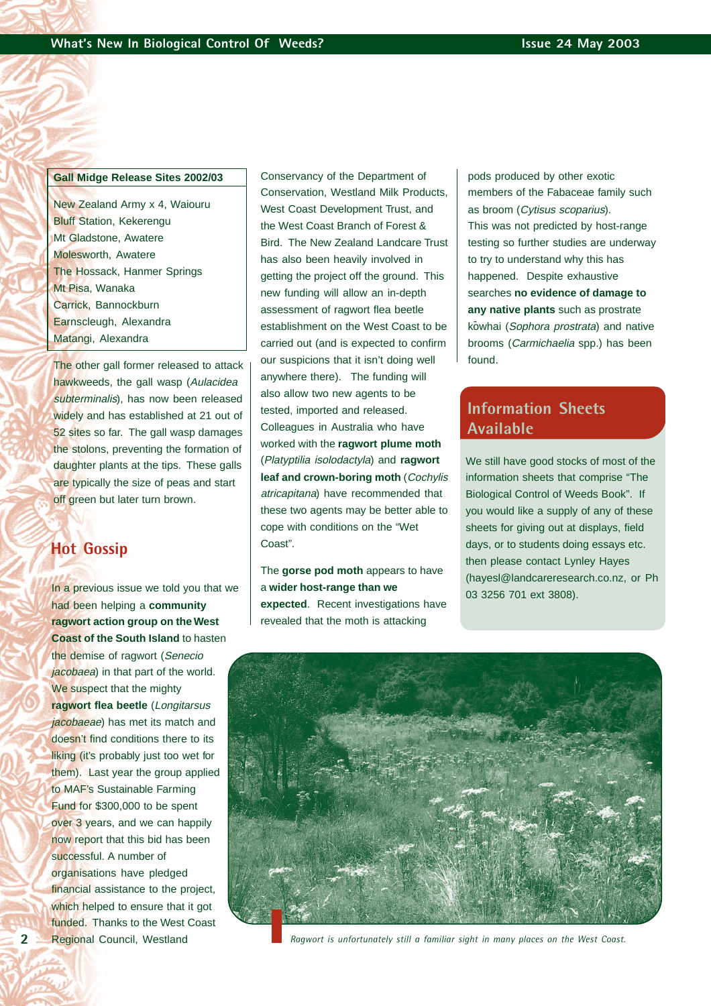#### **Gall Midge Release Sites 2002/03**

New Zealand Army x 4, Waiouru Bluff Station, Kekerengu Mt Gladstone, Awatere Molesworth, Awatere The Hossack, Hanmer Springs Mt Pisa, Wanaka Carrick, Bannockburn Earnscleugh, Alexandra Matangi, Alexandra

The other gall former released to attack hawkweeds, the gall wasp (Aulacidea subterminalis), has now been released widely and has established at 21 out of 52 sites so far. The gall wasp damages the stolons, preventing the formation of daughter plants at the tips. These galls are typically the size of peas and start off green but later turn brown.

#### **Hot Gossip**

In a previous issue we told you that we had been helping a **community ragwort action group on the West Coast of the South Island** to hasten the demise of ragwort (Senecio jacobaea) in that part of the world. We suspect that the mighty **ragwort flea beetle** (Longitarsus jacobaeae) has met its match and doesn't find conditions there to its liking (it's probably just too wet for them). Last year the group applied to MAF's Sustainable Farming Fund for \$300,000 to be spent over 3 years, and we can happily now report that this bid has been successful. A number of organisations have pledged financial assistance to the project, which helped to ensure that it got funded. Thanks to the West Coast Regional Council, Westland

Conservancy of the Department of Conservation, Westland Milk Products, West Coast Development Trust, and the West Coast Branch of Forest & Bird. The New Zealand Landcare Trust has also been heavily involved in getting the project off the ground. This new funding will allow an in-depth assessment of ragwort flea beetle establishment on the West Coast to be carried out (and is expected to confirm our suspicions that it isn't doing well anywhere there). The funding will also allow two new agents to be tested, imported and released. Colleagues in Australia who have worked with the **ragwort plume moth** (Platyptilia isolodactyla) and **ragwort leaf and crown-boring moth** (Cochylis atricapitana) have recommended that these two agents may be better able to cope with conditions on the "Wet Coast".

The **gorse pod moth** appears to have a **wider host-range than we expected**. Recent investigations have revealed that the moth is attacking

pods produced by other exotic members of the Fabaceae family such as broom (Cytisus scoparius). This was not predicted by host-range testing so further studies are underway to try to understand why this has happened. Despite exhaustive searches **no evidence of damage to any native plants** such as prostrate kowhai (Sophora prostrata) and native brooms (Carmichaelia spp.) has been found.

#### **Information Sheets Available**

We still have good stocks of most of the information sheets that comprise "The Biological Control of Weeds Book". If you would like a supply of any of these sheets for giving out at displays, field days, or to students doing essays etc. then please contact Lynley Hayes [\(hayesl@landcareresearch.co.nz,](mailto:hayesl@landcareresearch.co.nz) or Ph 03 3256 701 ext 3808).



*Ragwort is unfortunately still a familiar sight in many places on the West Coast.*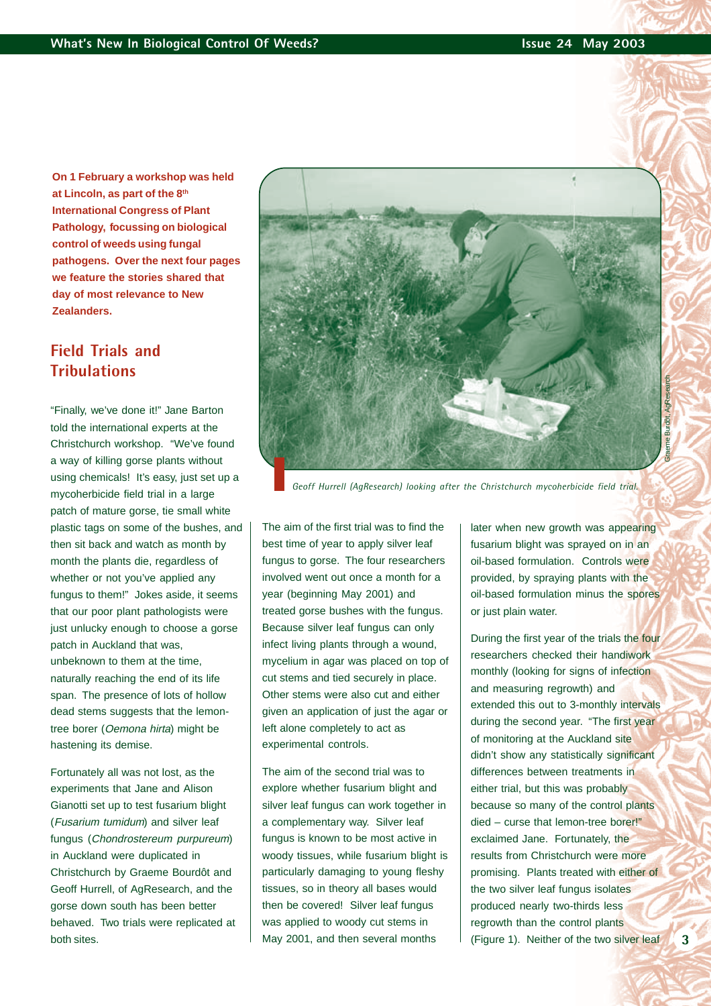**On 1 February a workshop was held at Lincoln, as part of the 8th International Congress of Plant Pathology, focussing on biological control of weeds using fungal pathogens. Over the next four pages we feature the stories shared that day of most relevance to New Zealanders.**

## **Field Trials and Tribulations**

"Finally, we've done it!" Jane Barton told the international experts at the Christchurch workshop. "We've found a way of killing gorse plants without using chemicals! It's easy, just set up a mycoherbicide field trial in a large patch of mature gorse, tie small white plastic tags on some of the bushes, and then sit back and watch as month by month the plants die, regardless of whether or not you've applied any fungus to them!" Jokes aside, it seems that our poor plant pathologists were just unlucky enough to choose a gorse patch in Auckland that was, unbeknown to them at the time, naturally reaching the end of its life span. The presence of lots of hollow dead stems suggests that the lemontree borer (Oemona hirta) might be hastening its demise.

Fortunately all was not lost, as the experiments that Jane and Alison Gianotti set up to test fusarium blight (Fusarium tumidum) and silver leaf fungus (Chondrostereum purpureum) in Auckland were duplicated in Christchurch by Graeme Bourdôt and Geoff Hurrell, of AgResearch, and the gorse down south has been better behaved. Two trials were replicated at both sites.



*Geoff Hurrell (AgResearch) looking after the Christchurch mycoherbicide field trial.*

The aim of the first trial was to find the best time of year to apply silver leaf fungus to gorse. The four researchers involved went out once a month for a year (beginning May 2001) and treated gorse bushes with the fungus. Because silver leaf fungus can only infect living plants through a wound, mycelium in agar was placed on top of cut stems and tied securely in place. Other stems were also cut and either given an application of just the agar or left alone completely to act as experimental controls.

The aim of the second trial was to explore whether fusarium blight and silver leaf fungus can work together in a complementary way. Silver leaf fungus is known to be most active in woody tissues, while fusarium blight is particularly damaging to young fleshy tissues, so in theory all bases would then be covered! Silver leaf fungus was applied to woody cut stems in May 2001, and then several months

later when new growth was appearing fusarium blight was sprayed on in an oil-based formulation. Controls were provided, by spraying plants with the oil-based formulation minus the spores or just plain water.

During the first year of the trials the four researchers checked their handiwork monthly (looking for signs of infection and measuring regrowth) and extended this out to 3-monthly intervals during the second year. "The first year of monitoring at the Auckland site didn't show any statistically significant differences between treatments in either trial, but this was probably because so many of the control plants died – curse that lemon-tree borer!" exclaimed Jane. Fortunately, the results from Christchurch were more promising. Plants treated with either of the two silver leaf fungus isolates produced nearly two-thirds less regrowth than the control plants (Figure 1). Neither of the two silver leaf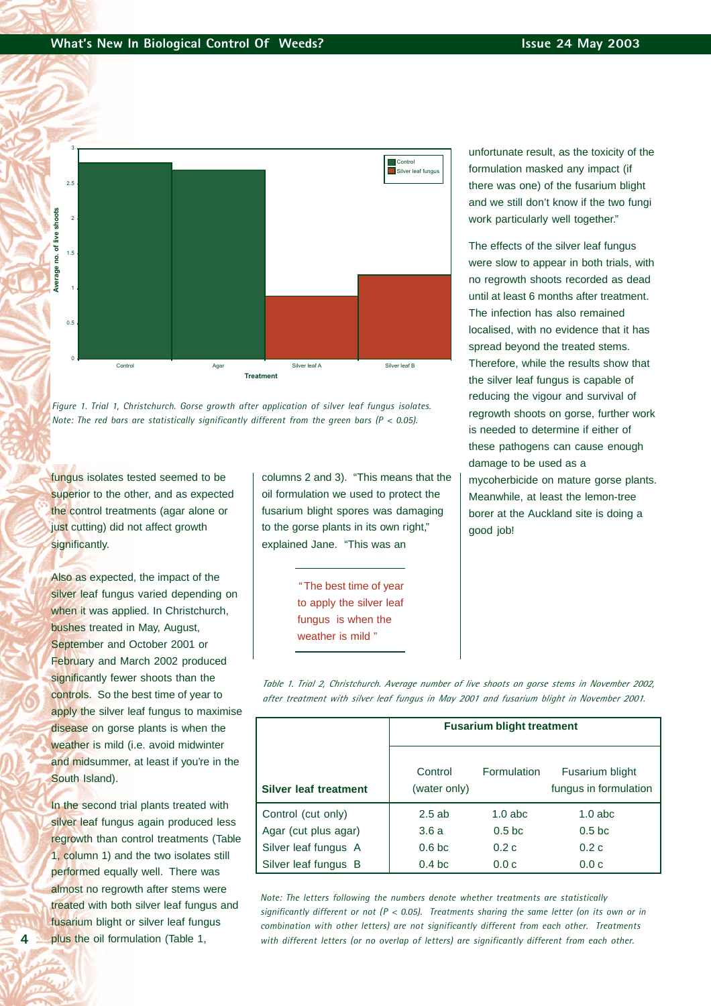



fungus isolates tested seemed to be superior to the other, and as expected the control treatments (agar alone or just cutting) did not affect growth significantly.

Also as expected, the impact of the silver leaf fungus varied depending on when it was applied. In Christchurch, bushes treated in May, August, September and October 2001 or February and March 2002 produced significantly fewer shoots than the controls. So the best time of year to apply the silver leaf fungus to maximise disease on gorse plants is when the weather is mild (i.e. avoid midwinter and midsummer, at least if you're in the South Island).

In the second trial plants treated with silver leaf fungus again produced less regrowth than control treatments (Table 1, column 1) and the two isolates still performed equally well. There was almost no regrowth after stems were treated with both silver leaf fungus and fusarium blight or silver leaf fungus plus the oil formulation (Table 1,

columns 2 and 3). "This means that the oil formulation we used to protect the fusarium blight spores was damaging to the gorse plants in its own right," explained Jane. "This was an

> " The best time of year to apply the silver leaf fungus is when the weather is mild "

unfortunate result, as the toxicity of the formulation masked any impact (if there was one) of the fusarium blight and we still don't know if the two fungi work particularly well together."

The effects of the silver leaf fungus were slow to appear in both trials, with no regrowth shoots recorded as dead until at least 6 months after treatment. The infection has also remained localised, with no evidence that it has spread beyond the treated stems. Therefore, while the results show that the silver leaf fungus is capable of reducing the vigour and survival of regrowth shoots on gorse, further work is needed to determine if either of these pathogens can cause enough damage to be used as a mycoherbicide on mature gorse plants. Meanwhile, at least the lemon-tree borer at the Auckland site is doing a good job!

*Table 1. Trial 2, Christchurch. Average number of live shoots on gorse stems in November 2002, after treatment with silver leaf fungus in May 2001 and fusarium blight in November 2001.*

|                              | <b>Fusarium blight treatment</b> |                                                                |                  |  |
|------------------------------|----------------------------------|----------------------------------------------------------------|------------------|--|
| <b>Silver leaf treatment</b> | Control<br>(water only)          | <b>Formulation</b><br>Fusarium blight<br>fungus in formulation |                  |  |
| Control (cut only)           | 2.5ab                            | $1.0$ abc                                                      | $1.0$ abc        |  |
| Agar (cut plus agar)         | 3.6a                             | 0.5 <sub>b</sub>                                               | 0.5 <sub>b</sub> |  |
| Silver leaf fungus A         | 0.6 <sub>b</sub>                 | 0.2c                                                           | 0.2c             |  |
| Silver leaf fungus B         | 0.4 <sub>bc</sub>                | 0.0c                                                           | 0.0c             |  |

*Note: The letters following the numbers denote whether treatments are statistically significantly different or not (P < 0.05). Treatments sharing the same letter (on its own or in combination with other letters) are not significantly different from each other. Treatments with different letters (or no overlap of letters) are significantly different from each other.*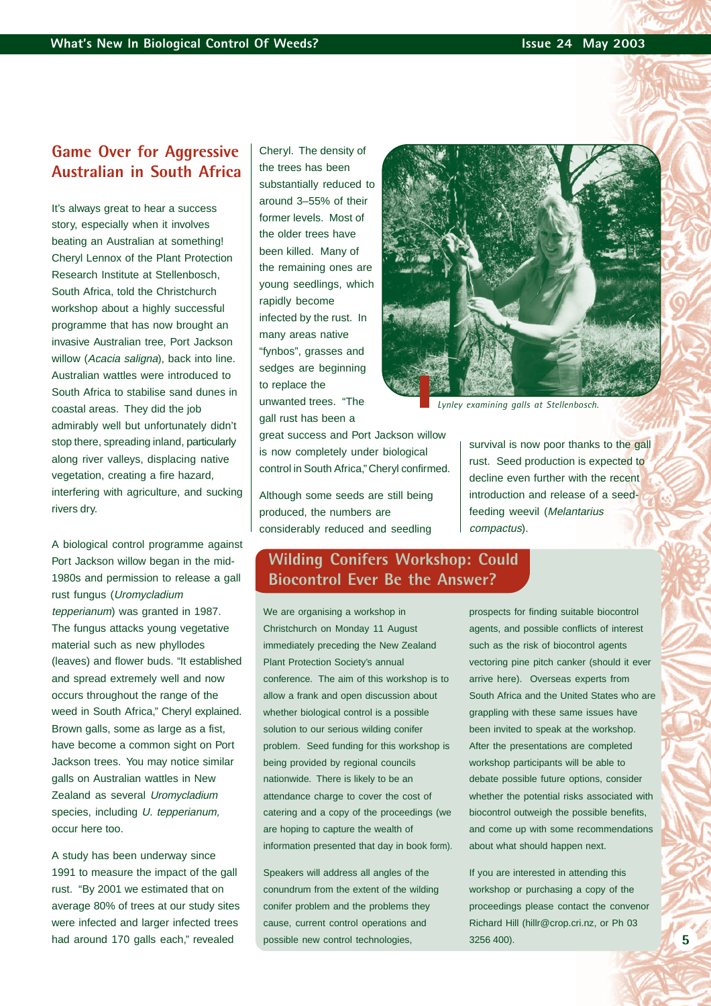# **Game Over for Aggressive Australian in South Africa**

It's always great to hear a success story, especially when it involves beating an Australian at something! Cheryl Lennox of the Plant Protection Research Institute at Stellenbosch, South Africa, told the Christchurch workshop about a highly successful programme that has now brought an invasive Australian tree, Port Jackson willow (Acacia saligna), back into line. Australian wattles were introduced to South Africa to stabilise sand dunes in coastal areas. They did the job admirably well but unfortunately didn't stop there, spreading inland, particularly along river valleys, displacing native vegetation, creating a fire hazard, interfering with agriculture, and sucking rivers dry.

A biological control programme against Port Jackson willow began in the mid-1980s and permission to release a gall rust fungus (Uromycladium tepperianum) was granted in 1987. The fungus attacks young vegetative material such as new phyllodes (leaves) and flower buds. "It established and spread extremely well and now occurs throughout the range of the weed in South Africa," Cheryl explained. Brown galls, some as large as a fist, have become a common sight on Port Jackson trees. You may notice similar galls on Australian wattles in New Zealand as several Uromycladium species, including U. tepperianum, occur here too.

A study has been underway since 1991 to measure the impact of the gall rust. "By 2001 we estimated that on average 80% of trees at our study sites were infected and larger infected trees had around 170 galls each," revealed

Cheryl. The density of the trees has been substantially reduced to around 3–55% of their former levels. Most of the older trees have been killed. Many of the remaining ones are young seedlings, which rapidly become infected by the rust. In many areas native "fynbos", grasses and sedges are beginning to replace the unwanted trees. "The gall rust has been a

great success and Port Jackson willow is now completely under biological control in South Africa," Cheryl confirmed.

Although some seeds are still being produced, the numbers are considerably reduced and seedling



*Lynley examining galls at Stellenbosch.*

survival is now poor thanks to the gall rust. Seed production is expected to decline even further with the recent introduction and release of a seedfeeding weevil (Melantarius compactus).

### **Wilding Conifers Workshop: Could Biocontrol Ever Be the Answer?**

We are organising a workshop in Christchurch on Monday 11 August immediately preceding the New Zealand Plant Protection Society's annual conference. The aim of this workshop is to allow a frank and open discussion about whether biological control is a possible solution to our serious wilding conifer problem. Seed funding for this workshop is being provided by regional councils nationwide. There is likely to be an attendance charge to cover the cost of catering and a copy of the proceedings (we are hoping to capture the wealth of information presented that day in book form).

Speakers will address all angles of the conundrum from the extent of the wilding conifer problem and the problems they cause, current control operations and possible new control technologies,

prospects for finding suitable biocontrol agents, and possible conflicts of interest such as the risk of biocontrol agents vectoring pine pitch canker (should it ever arrive here). Overseas experts from South Africa and the United States who are grappling with these same issues have been invited to speak at the workshop. After the presentations are completed workshop participants will be able to debate possible future options, consider whether the potential risks associated with biocontrol outweigh the possible benefits, and come up with some recommendations about what should happen next.

If you are interested in attending this workshop or purchasing a copy of the proceedings please contact the convenor Richard Hill [\(hillr@crop.cri.nz,](mailto:hillr@crop.cri.nz) or Ph 03 3256 400).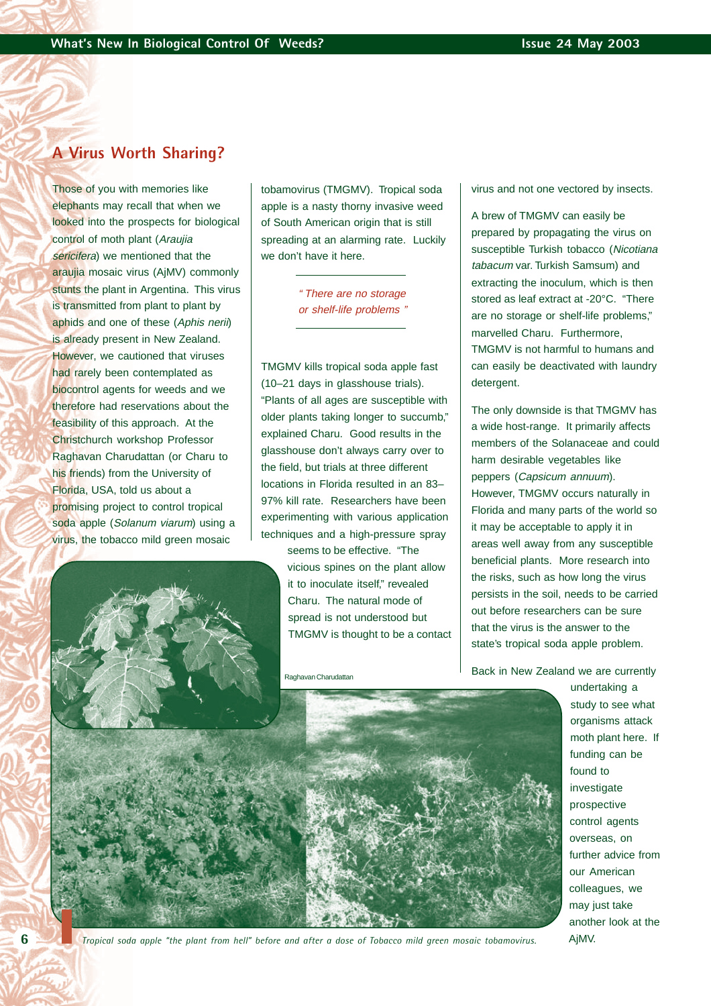#### **A Virus Worth Sharing?**

Those of you with memories like elephants may recall that when we looked into the prospects for biological control of moth plant (Araujia sericifera) we mentioned that the araujia mosaic virus (AjMV) commonly stunts the plant in Argentina. This virus is transmitted from plant to plant by aphids and one of these (Aphis nerii) is already present in New Zealand. However, we cautioned that viruses had rarely been contemplated as biocontrol agents for weeds and we therefore had reservations about the feasibility of this approach. At the Christchurch workshop Professor Raghavan Charudattan (or Charu to his friends) from the University of Florida, USA, told us about a promising project to control tropical soda apple (Solanum viarum) using a virus, the tobacco mild green mosaic



tobamovirus (TMGMV). Tropical soda apple is a nasty thorny invasive weed of South American origin that is still spreading at an alarming rate. Luckily we don't have it here.

> " There are no storage or shelf-life problems "

TMGMV kills tropical soda apple fast (10–21 days in glasshouse trials). "Plants of all ages are susceptible with older plants taking longer to succumb," explained Charu. Good results in the glasshouse don't always carry over to the field, but trials at three different locations in Florida resulted in an 83– 97% kill rate. Researchers have been experimenting with various application techniques and a high-pressure spray

> seems to be effective. "The vicious spines on the plant allow it to inoculate itself," revealed Charu. The natural mode of spread is not understood but TMGMV is thought to be a contact

Raghavan Charudattan

virus and not one vectored by insects.

A brew of TMGMV can easily be prepared by propagating the virus on susceptible Turkish tobacco (Nicotiana tabacum var. Turkish Samsum) and extracting the inoculum, which is then stored as leaf extract at -20°C. "There are no storage or shelf-life problems," marvelled Charu. Furthermore, TMGMV is not harmful to humans and can easily be deactivated with laundry detergent.

The only downside is that TMGMV has a wide host-range. It primarily affects members of the Solanaceae and could harm desirable vegetables like peppers (Capsicum annuum). However, TMGMV occurs naturally in Florida and many parts of the world so it may be acceptable to apply it in areas well away from any susceptible beneficial plants. More research into the risks, such as how long the virus persists in the soil, needs to be carried out before researchers can be sure that the virus is the answer to the state's tropical soda apple problem.

Back in New Zealand we are currently



undertaking a study to see what organisms attack moth plant here. If funding can be found to investigate prospective control agents overseas, on further advice from our American colleagues, we may just take another look at the AjMV.



*Tropical soda apple "the plant from hell" before and after a dose of Tobacco mild green mosaic tobamovirus.*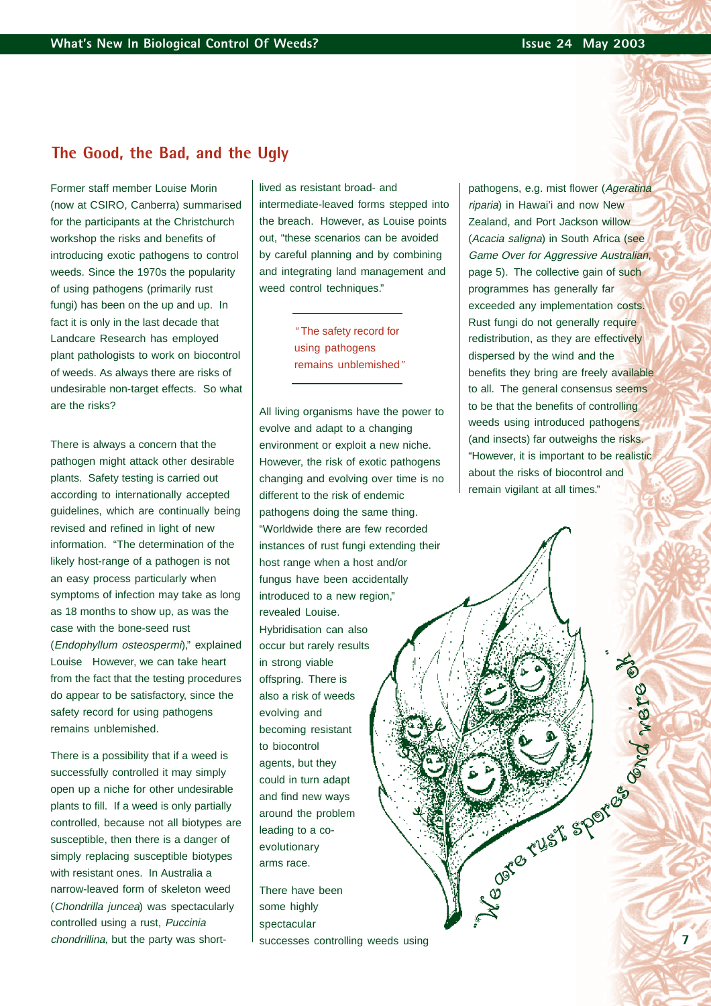#### **The Good, the Bad, and the Ugly**

Former staff member Louise Morin (now at CSIRO, Canberra) summarised for the participants at the Christchurch workshop the risks and benefits of introducing exotic pathogens to control weeds. Since the 1970s the popularity of using pathogens (primarily rust fungi) has been on the up and up. In fact it is only in the last decade that Landcare Research has employed plant pathologists to work on biocontrol of weeds. As always there are risks of undesirable non-target effects. So what are the risks?

There is always a concern that the pathogen might attack other desirable plants. Safety testing is carried out according to internationally accepted guidelines, which are continually being revised and refined in light of new information. "The determination of the likely host-range of a pathogen is not an easy process particularly when symptoms of infection may take as long as 18 months to show up, as was the case with the bone-seed rust (Endophyllum osteospermi)," explained Louise However, we can take heart from the fact that the testing procedures do appear to be satisfactory, since the safety record for using pathogens remains unblemished.

There is a possibility that if a weed is successfully controlled it may simply open up a niche for other undesirable plants to fill. If a weed is only partially controlled, because not all biotypes are susceptible, then there is a danger of simply replacing susceptible biotypes with resistant ones. In Australia a narrow-leaved form of skeleton weed (Chondrilla juncea) was spectacularly controlled using a rust, Puccinia chondrillina, but the party was shortlived as resistant broad- and intermediate-leaved forms stepped into the breach. However, as Louise points out, "these scenarios can be avoided by careful planning and by combining and integrating land management and weed control techniques."

> " The safety record for using pathogens remains unblemished"

All living organisms have the power to evolve and adapt to a changing environment or exploit a new niche. However, the risk of exotic pathogens changing and evolving over time is no different to the risk of endemic pathogens doing the same thing. "Worldwide there are few recorded instances of rust fungi extending their host range when a host and/or fungus have been accidentally introduced to a new region," revealed Louise. Hybridisation can also occur but rarely results in strong viable offspring. There is also a risk of weeds evolving and becoming resistant to biocontrol agents, but they could in turn adapt and find new ways around the problem leading to a coevolutionary arms race.

There have been some highly spectacular successes controlling weeds using pathogens, e.g. mist flower (Ageratina riparia) in Hawai'i and now New Zealand, and Port Jackson willow (Acacia saligna) in South Africa (see Game Over for Aggressive Australian, page 5). The collective gain of such programmes has generally far exceeded any implementation costs. Rust fungi do not generally require redistribution, as they are effectively dispersed by the wind and the benefits they bring are freely available to all. The general consensus seems to be that the benefits of controlling weeds using introduced pathogens (and insects) far outweighs the risks. "However, it is important to be realistic about the risks of biocontrol and remain vigilant at all times."

Negate Cust sportes

Ord were